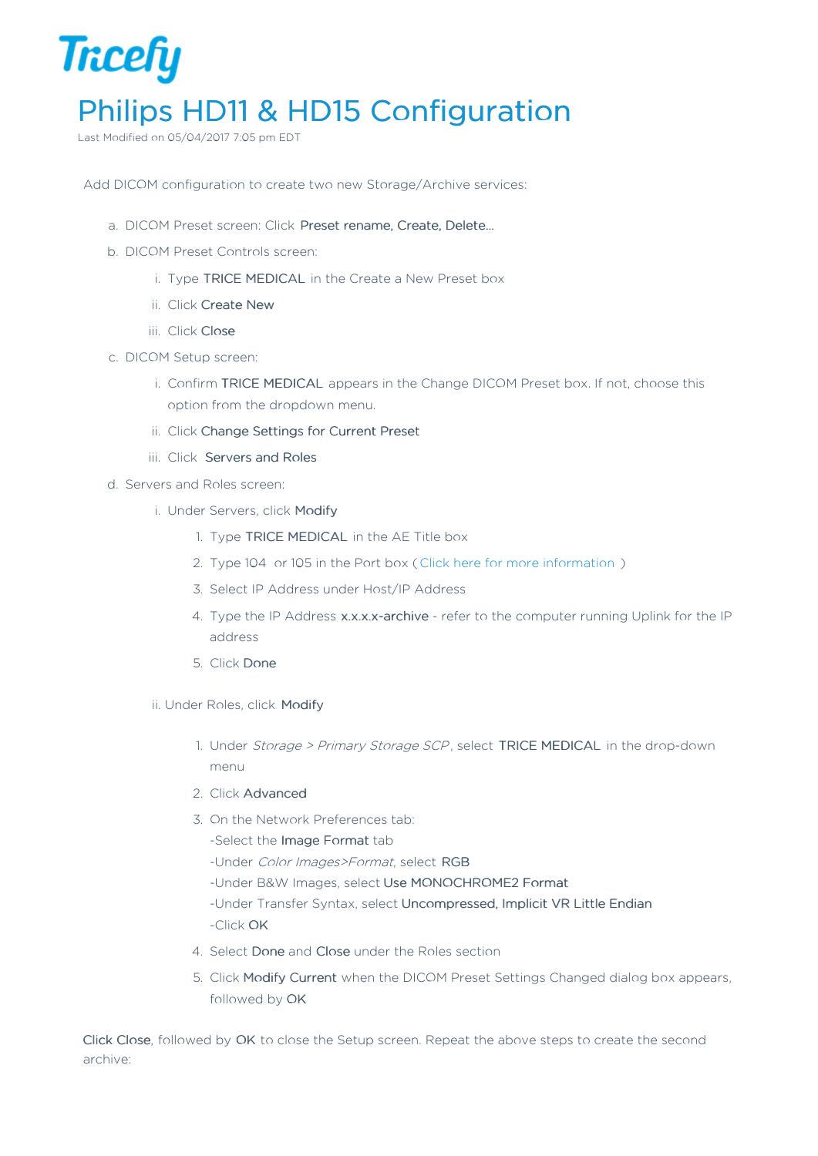## **Tricefy** Philips HD11 & HD15 Configuration

Last Modified on 05/04/2017 7:05 pm EDT

Add DICOM configuration to create two new Storage/Archive services:

- a. DICOM Preset screen: Click Preset rename, Create, Delete…
- b. DICOM Preset Controls screen:
	- i. Type TRICE MEDICAL in the Create a New Preset box
	- ii. Click Create New
	- iii. Click Close
- c. DICOM Setup screen:
	- i. Confirm TRICE MEDICAL appears in the Change DICOM Preset box. If not, choose this option from the dropdown menu.
	- ii. Click Change Settings for Current Preset
	- iii. Click Servers and Roles
- d. Servers and Roles screen:
	- i. Under Servers, click Modify
		- 1. Type TRICE MEDICAL in the AE Title box
		- 2. Type 104 or 105 in the Port box ( Click here for more information )
		- 3. Select IP Address under Host/IP Address
		- 4. Type the IP Address x.x.x.x-archive refer to the computer running Uplink for the IP address
		- 5. Click Done
	- ii. Under Roles, click Modify
		- 1. Under Storage > Primary Storage SCP, select TRICE MEDICAL in the drop-down menu
		- 2. Click Advanced
		- 3. On the Network Preferences tab:
			- -Select the Image Format tab
			- -Under Color Images>Format, select RGB
			- -Under B&W Images, select Use MONOCHROME2 Format
			- -Under Transfer Syntax, select Uncompressed, Implicit VR Little Endian -Click OK
		- 4. Select Done and Close under the Roles section
		- 5. Click Modify Current when the DICOM Preset Settings Changed dialog box appears, followed by OK

Click Close, followed by OK to close the Setup screen. Repeat the above steps to create the second archive: